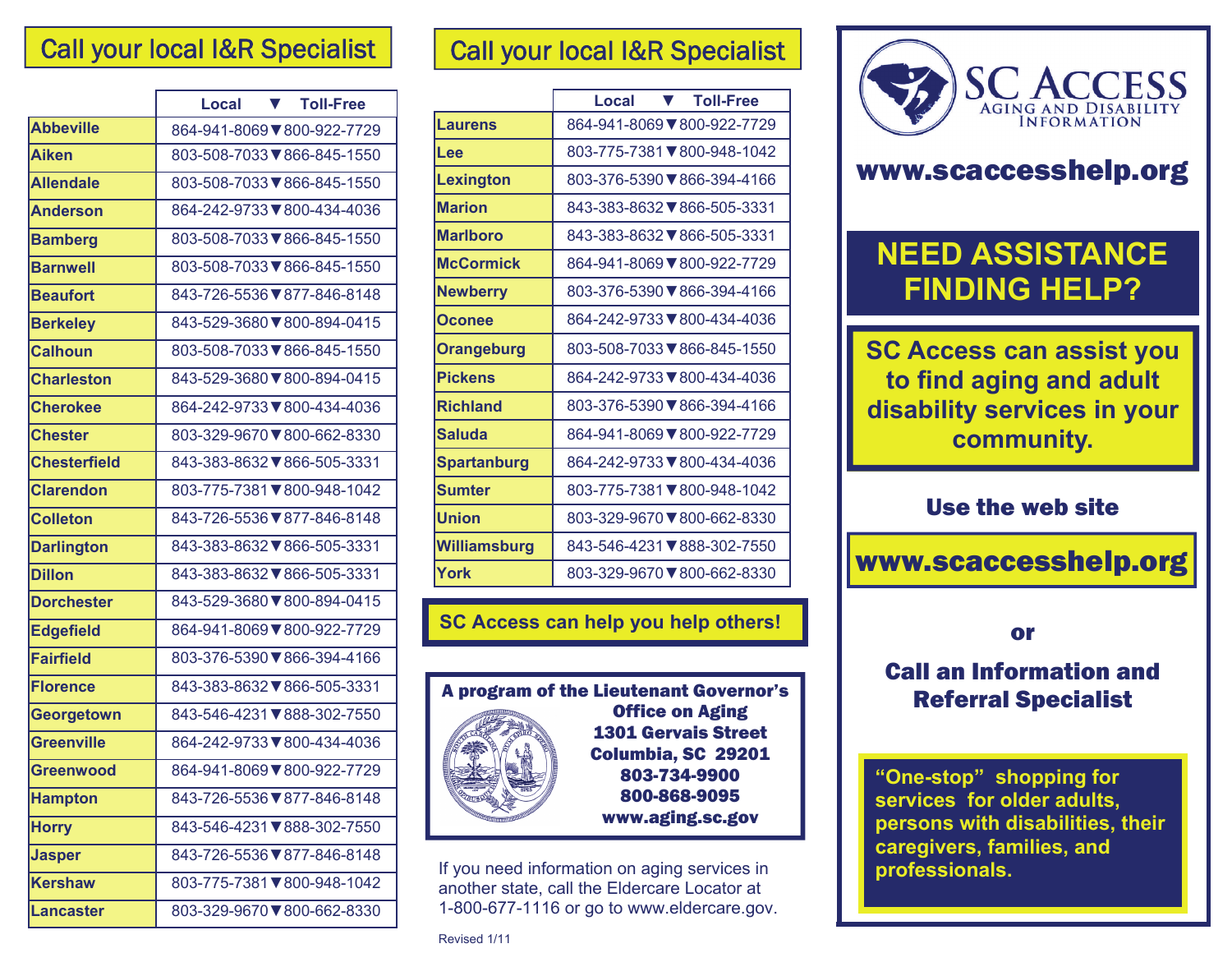|                     | <b>Toll-Free</b><br>Local<br>v. |
|---------------------|---------------------------------|
| <b>Abbeville</b>    | 864-941-8069 ▼800-922-7729      |
| <b>Aiken</b>        | 803-508-7033 ₹866-845-1550      |
| <b>Allendale</b>    | 803-508-7033 ₹866-845-1550      |
| <b>Anderson</b>     | 864-242-9733 ₹800-434-4036      |
| <b>Bamberg</b>      | 803-508-7033 ₹866-845-1550      |
| <b>Barnwell</b>     | 803-508-7033 ₹866-845-1550      |
| <b>Beaufort</b>     | 843-726-5536 ₹877-846-8148      |
| <b>Berkeley</b>     | 843-529-3680 ₹800-894-0415      |
| <b>Calhoun</b>      | 803-508-7033 ₹866-845-1550      |
| <b>Charleston</b>   | 843-529-3680 ₹800-894-0415      |
| <b>Cherokee</b>     | 864-242-9733 ₹800-434-4036      |
| <b>Chester</b>      | 803-329-9670 ▼800-662-8330      |
| <b>Chesterfield</b> | 843-383-8632 ▼866-505-3331      |
| <b>Clarendon</b>    | 803-775-7381 ₹800-948-1042      |
| <b>Colleton</b>     | 843-726-5536 ₹877-846-8148      |
| <b>Darlington</b>   | 843-383-8632 ▼866-505-3331      |
| <b>Dillon</b>       | 843-383-8632 ₹866-505-3331      |
| <b>Dorchester</b>   | 843-529-3680 ₹800-894-0415      |
| <b>Edgefield</b>    | 864-941-8069 ₹800-922-7729      |
| <b>Fairfield</b>    | 803-376-5390 ₹866-394-4166      |
| <b>Florence</b>     | 843-383-8632 ₹866-505-3331      |
| Georgetown          | 843-546-4231 ₹888-302-7550      |
| <b>Greenville</b>   | 864-242-9733 ₹800-434-4036      |
| <b>Greenwood</b>    | 864-941-8069 ₹800-922-7729      |
| <b>Hampton</b>      | 843-726-5536 ₹877-846-8148      |
| <b>Horry</b>        | 843-546-4231 ₹888-302-7550      |
| <b>Jasper</b>       | 843-726-5536 ₹877-846-8148      |
| <b>Kershaw</b>      | 803-775-7381 ₹800-948-1042      |
| <b>Lancaster</b>    | 803-329-9670 ₹800-662-8330      |

#### Call your local I&R Specialist

|                    | <b>Toll-Free</b><br>Local<br>v. |
|--------------------|---------------------------------|
| <b>Laurens</b>     | 864-941-8069 7800-922-7729      |
| Lee                | 803-775-7381 ▼800-948-1042      |
| <b>Lexington</b>   | 803-376-5390 ▼866-394-4166      |
| <b>Marion</b>      | 843-383-8632 ▼ 866-505-3331     |
| <b>Marlboro</b>    | 843-383-8632 ▼ 866-505-3331     |
| <b>McCormick</b>   | 864-941-8069 7800-922-7729      |
| <b>Newberry</b>    | 803-376-5390 ▼866-394-4166      |
| Oconee             | 864-242-9733 ▼800-434-4036      |
| <b>Orangeburg</b>  | 803-508-7033 ▼ 866-845-1550     |
| <b>Pickens</b>     | 864-242-9733▼800-434-4036       |
| <b>Richland</b>    | 803-376-5390 ▼866-394-4166      |
| <b>Saluda</b>      | 864-941-8069 7800-922-7729      |
| <b>Spartanburg</b> | 864-242-9733▼800-434-4036       |
| <b>Sumter</b>      | 803-775-7381 ▼800-948-1042      |
| <b>Union</b>       | 803-329-9670 ▼800-662-8330      |
| Williamsburg       | 843-546-4231 ₹888-302-7550      |
| York               | 803-329-9670 ▼800-662-8330      |

**SC Access can help you help others!** 



Office on Aging 1301 Gervais Street Columbia, SC 29201 803-734-9900 800-868-9095 www.aging.sc.gov

If you need information on aging services in another state, call the Eldercare Locator at 1-800-677-1116 or go to www.eldercare.gov.

Revised 1/11



# www.scaccesshelp.org

# **NEED ASSISTANCE FINDING HELP?**

**SC Access can assist you to find aging and adult disability services in your community.** 

#### Use the web site

www.scaccesshelp.org

or

### Call an Information and Referral Specialist

**"One-stop" shopping for services for older adults, persons with disabilities, their caregivers, families, and professionals.**